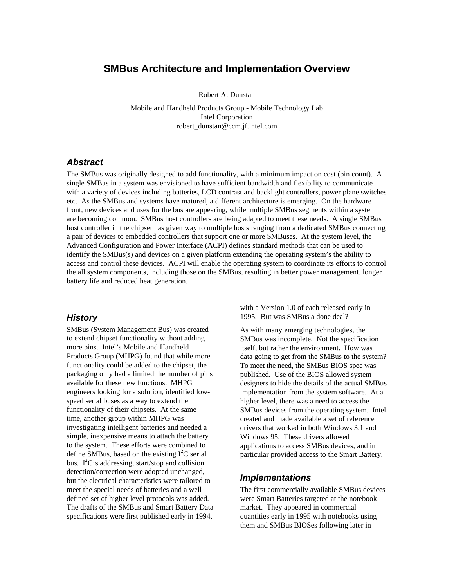# **SMBus Architecture and Implementation Overview**

Robert A. Dunstan

Mobile and Handheld Products Group - Mobile Technology Lab Intel Corporation robert\_dunstan@ccm.jf.intel.com

### *Abstract*

The SMBus was originally designed to add functionality, with a minimum impact on cost (pin count). A single SMBus in a system was envisioned to have sufficient bandwidth and flexibility to communicate with a variety of devices including batteries, LCD contrast and backlight controllers, power plane switches etc. As the SMBus and systems have matured, a different architecture is emerging. On the hardware front, new devices and uses for the bus are appearing, while multiple SMBus segments within a system are becoming common. SMBus host controllers are being adapted to meet these needs. A single SMBus host controller in the chipset has given way to multiple hosts ranging from a dedicated SMBus connecting a pair of devices to embedded controllers that support one or more SMBuses. At the system level, the Advanced Configuration and Power Interface (ACPI) defines standard methods that can be used to identify the SMBus(s) and devices on a given platform extending the operating system's the ability to access and control these devices. ACPI will enable the operating system to coordinate its efforts to control the all system components, including those on the SMBus, resulting in better power management, longer battery life and reduced heat generation.

### *History*

SMBus (System Management Bus) was created to extend chipset functionality without adding more pins. Intel's Mobile and Handheld Products Group (MHPG) found that while more functionality could be added to the chipset, the packaging only had a limited the number of pins available for these new functions. MHPG engineers looking for a solution, identified lowspeed serial buses as a way to extend the functionality of their chipsets. At the same time, another group within MHPG was investigating intelligent batteries and needed a simple, inexpensive means to attach the battery to the system. These efforts were combined to define SMBus, based on the existing  $I^2C$  serial bus.  $I^2C$ 's addressing, start/stop and collision detection/correction were adopted unchanged, but the electrical characteristics were tailored to meet the special needs of batteries and a well defined set of higher level protocols was added. The drafts of the SMBus and Smart Battery Data specifications were first published early in 1994,

with a Version 1.0 of each released early in 1995. But was SMBus a done deal?

As with many emerging technologies, the SMBus was incomplete. Not the specification itself, but rather the environment. How was data going to get from the SMBus to the system? To meet the need, the SMBus BIOS spec was published. Use of the BIOS allowed system designers to hide the details of the actual SMBus implementation from the system software. At a higher level, there was a need to access the SMBus devices from the operating system. Intel created and made available a set of reference drivers that worked in both Windows 3.1 and Windows 95. These drivers allowed applications to access SMBus devices, and in particular provided access to the Smart Battery.

#### *Implementations*

The first commercially available SMBus devices were Smart Batteries targeted at the notebook market. They appeared in commercial quantities early in 1995 with notebooks using them and SMBus BIOSes following later in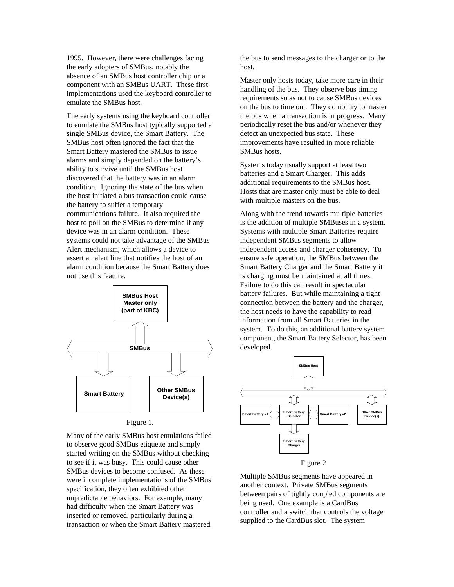1995. However, there were challenges facing the early adopters of SMBus, notably the absence of an SMBus host controller chip or a component with an SMBus UART. These first implementations used the keyboard controller to emulate the SMBus host.

The early systems using the keyboard controller to emulate the SMBus host typically supported a single SMBus device, the Smart Battery. The SMBus host often ignored the fact that the Smart Battery mastered the SMBus to issue alarms and simply depended on the battery's ability to survive until the SMBus host discovered that the battery was in an alarm condition. Ignoring the state of the bus when the host initiated a bus transaction could cause the battery to suffer a temporary communications failure. It also required the host to poll on the SMBus to determine if any device was in an alarm condition. These systems could not take advantage of the SMBus Alert mechanism, which allows a device to assert an alert line that notifies the host of an alarm condition because the Smart Battery does not use this feature.



Figure 1.

Many of the early SMBus host emulations failed to observe good SMBus etiquette and simply started writing on the SMBus without checking to see if it was busy. This could cause other SMBus devices to become confused. As these were incomplete implementations of the SMBus specification, they often exhibited other unpredictable behaviors. For example, many had difficulty when the Smart Battery was inserted or removed, particularly during a transaction or when the Smart Battery mastered

the bus to send messages to the charger or to the host.

Master only hosts today, take more care in their handling of the bus. They observe bus timing requirements so as not to cause SMBus devices on the bus to time out. They do not try to master the bus when a transaction is in progress. Many periodically reset the bus and/or whenever they detect an unexpected bus state. These improvements have resulted in more reliable SMBus hosts.

Systems today usually support at least two batteries and a Smart Charger. This adds additional requirements to the SMBus host. Hosts that are master only must be able to deal with multiple masters on the bus.

Along with the trend towards multiple batteries is the addition of multiple SMBuses in a system. Systems with multiple Smart Batteries require independent SMBus segments to allow independent access and charger coherency. To ensure safe operation, the SMBus between the Smart Battery Charger and the Smart Battery it is charging must be maintained at all times. Failure to do this can result in spectacular battery failures. But while maintaining a tight connection between the battery and the charger, the host needs to have the capability to read information from all Smart Batteries in the system. To do this, an additional battery system component, the Smart Battery Selector, has been developed.



Multiple SMBus segments have appeared in another context. Private SMBus segments between pairs of tightly coupled components are being used. One example is a CardBus controller and a switch that controls the voltage supplied to the CardBus slot. The system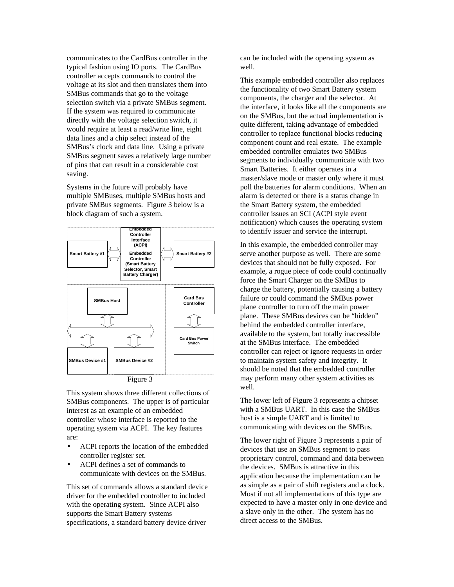communicates to the CardBus controller in the typical fashion using IO ports. The CardBus controller accepts commands to control the voltage at its slot and then translates them into SMBus commands that go to the voltage selection switch via a private SMBus segment. If the system was required to communicate directly with the voltage selection switch, it would require at least a read/write line, eight data lines and a chip select instead of the SMBus's clock and data line. Using a private SMBus segment saves a relatively large number of pins that can result in a considerable cost saving.

Systems in the future will probably have multiple SMBuses, multiple SMBus hosts and private SMBus segments. Figure 3 below is a block diagram of such a system.





This system shows three different collections of SMBus components. The upper is of particular interest as an example of an embedded controller whose interface is reported to the operating system via ACPI. The key features are:

- ACPI reports the location of the embedded controller register set.
- ACPI defines a set of commands to communicate with devices on the SMBus.

This set of commands allows a standard device driver for the embedded controller to included with the operating system. Since ACPI also supports the Smart Battery systems specifications, a standard battery device driver

can be included with the operating system as well.

This example embedded controller also replaces the functionality of two Smart Battery system components, the charger and the selector. At the interface, it looks like all the components are on the SMBus, but the actual implementation is quite different, taking advantage of embedded controller to replace functional blocks reducing component count and real estate. The example embedded controller emulates two SMBus segments to individually communicate with two Smart Batteries. It either operates in a master/slave mode or master only where it must poll the batteries for alarm conditions. When an alarm is detected or there is a status change in the Smart Battery system, the embedded controller issues an SCI (ACPI style event notification) which causes the operating system to identify issuer and service the interrupt.

In this example, the embedded controller may serve another purpose as well. There are some devices that should not be fully exposed. For example, a rogue piece of code could continually force the Smart Charger on the SMBus to charge the battery, potentially causing a battery failure or could command the SMBus power plane controller to turn off the main power plane. These SMBus devices can be "hidden" behind the embedded controller interface, available to the system, but totally inaccessible at the SMBus interface. The embedded controller can reject or ignore requests in order to maintain system safety and integrity. It should be noted that the embedded controller may perform many other system activities as well.

The lower left of Figure 3 represents a chipset with a SMBus UART. In this case the SMBus host is a simple UART and is limited to communicating with devices on the SMBus.

The lower right of Figure 3 represents a pair of devices that use an SMBus segment to pass proprietary control, command and data between the devices. SMBus is attractive in this application because the implementation can be as simple as a pair of shift registers and a clock. Most if not all implementations of this type are expected to have a master only in one device and a slave only in the other. The system has no direct access to the SMBus.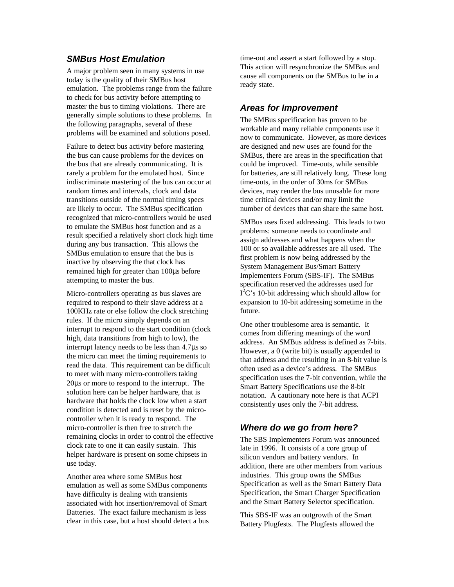## *SMBus Host Emulation*

A major problem seen in many systems in use today is the quality of their SMBus host emulation. The problems range from the failure to check for bus activity before attempting to master the bus to timing violations. There are generally simple solutions to these problems. In the following paragraphs, several of these problems will be examined and solutions posed.

Failure to detect bus activity before mastering the bus can cause problems for the devices on the bus that are already communicating. It is rarely a problem for the emulated host. Since indiscriminate mastering of the bus can occur at random times and intervals, clock and data transitions outside of the normal timing specs are likely to occur. The SMBus specification recognized that micro-controllers would be used to emulate the SMBus host function and as a result specified a relatively short clock high time during any bus transaction. This allows the SMBus emulation to ensure that the bus is inactive by observing the that clock has remained high for greater than 100μs before attempting to master the bus.

Micro-controllers operating as bus slaves are required to respond to their slave address at a 100KHz rate or else follow the clock stretching rules. If the micro simply depends on an interrupt to respond to the start condition (clock high, data transitions from high to low), the interrupt latency needs to be less than 4.7μs so the micro can meet the timing requirements to read the data. This requirement can be difficult to meet with many micro-controllers taking 20μs or more to respond to the interrupt. The solution here can be helper hardware, that is hardware that holds the clock low when a start condition is detected and is reset by the microcontroller when it is ready to respond. The micro-controller is then free to stretch the remaining clocks in order to control the effective clock rate to one it can easily sustain. This helper hardware is present on some chipsets in use today.

Another area where some SMBus host emulation as well as some SMBus components have difficulty is dealing with transients associated with hot insertion/removal of Smart Batteries. The exact failure mechanism is less clear in this case, but a host should detect a bus time-out and assert a start followed by a stop. This action will resynchronize the SMBus and cause all components on the SMBus to be in a ready state.

## *Areas for Improvement*

The SMBus specification has proven to be workable and many reliable components use it now to communicate. However, as more devices are designed and new uses are found for the SMBus, there are areas in the specification that could be improved. Time-outs, while sensible for batteries, are still relatively long. These long time-outs, in the order of 30ms for SMBus devices, may render the bus unusable for more time critical devices and/or may limit the number of devices that can share the same host.

SMBus uses fixed addressing. This leads to two problems: someone needs to coordinate and assign addresses and what happens when the 100 or so available addresses are all used. The first problem is now being addressed by the System Management Bus/Smart Battery Implementers Forum (SBS-IF). The SMBus specification reserved the addresses used for  $I<sup>2</sup>C$ 's 10-bit addressing which should allow for expansion to 10-bit addressing sometime in the future.

One other troublesome area is semantic. It comes from differing meanings of the word address. An SMBus address is defined as 7-bits. However, a 0 (write bit) is usually appended to that address and the resulting in an 8-bit value is often used as a device's address. The SMBus specification uses the 7-bit convention, while the Smart Battery Specifications use the 8-bit notation. A cautionary note here is that ACPI consistently uses only the 7-bit address.

## *Where do we go from here?*

The SBS Implementers Forum was announced late in 1996. It consists of a core group of silicon vendors and battery vendors. In addition, there are other members from various industries. This group owns the SMBus Specification as well as the Smart Battery Data Specification, the Smart Charger Specification and the Smart Battery Selector specification.

This SBS-IF was an outgrowth of the Smart Battery Plugfests. The Plugfests allowed the